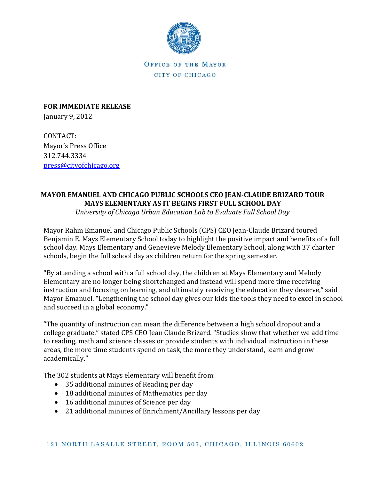

OFFICE OF THE MAYOR CITY OF CHICAGO

**FOR IMMEDIATE RELEASE** January 9, 2012

CONTACT: Mayor's Press Office 312.744.3334 [press@cityofchicago.org](mailto:press@cityofchicago.org)

## **MAYOR EMANUEL AND CHICAGO PUBLIC SCHOOLS CEO JEAN-CLAUDE BRIZARD TOUR MAYS ELEMENTARY AS IT BEGINS FIRST FULL SCHOOL DAY**

*University of Chicago Urban Education Lab to Evaluate Full School Day*

Mayor Rahm Emanuel and Chicago Public Schools (CPS) CEO Jean-Claude Brizard toured Benjamin E. Mays Elementary School today to highlight the positive impact and benefits of a full school day. Mays Elementary and Genevieve Melody Elementary School, along with 37 charter schools, begin the full school day as children return for the spring semester.

"By attending a school with a full school day, the children at Mays Elementary and Melody Elementary are no longer being shortchanged and instead will spend more time receiving instruction and focusing on learning, and ultimately receiving the education they deserve," said Mayor Emanuel. "Lengthening the school day gives our kids the tools they need to excel in school and succeed in a global economy."

"The quantity of instruction can mean the difference between a high school dropout and a college graduate," stated CPS CEO Jean Claude Brizard. "Studies show that whether we add time to reading, math and science classes or provide students with individual instruction in these areas, the more time students spend on task, the more they understand, learn and grow academically."

The 302 students at Mays elementary will benefit from:

- 35 additional minutes of Reading per day
- 18 additional minutes of Mathematics per day
- 16 additional minutes of Science per day
- 21 additional minutes of Enrichment/Ancillary lessons per day